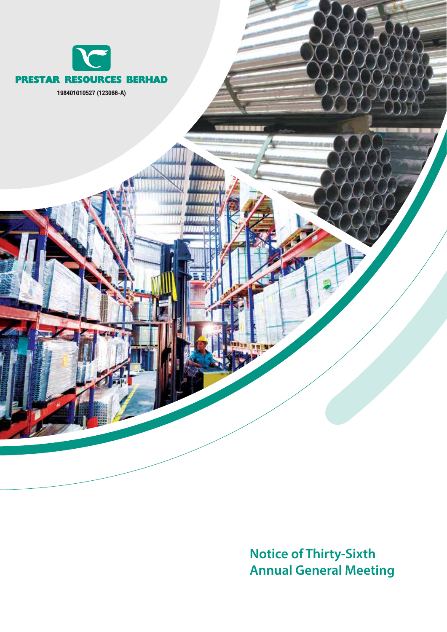

**Notice of Thirty-Sixth Annual General Meeting**

K

r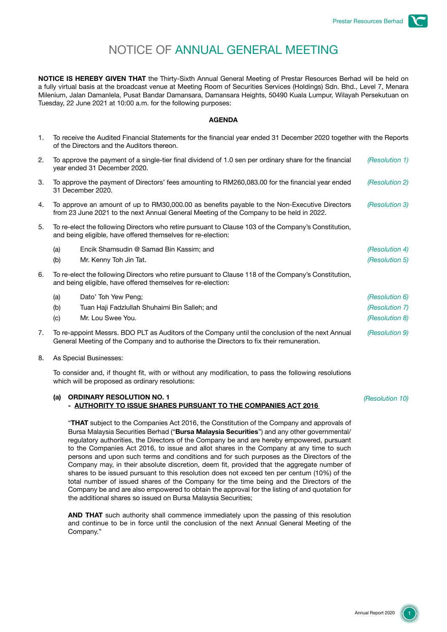# NOTICE OF ANNUAL GENERAL MEETING

**NOTICE IS HEREBY GIVEN THAT** the Thirty-Sixth Annual General Meeting of Prestar Resources Berhad will be held on a fully virtual basis at the broadcast venue at Meeting Room of Securities Services (Holdings) Sdn. Bhd., Level 7, Menara Milenium, Jalan Damanlela, Pusat Bandar Damansara, Damansara Heights, 50490 Kuala Lumpur, Wilayah Persekutuan on Tuesday, 22 June 2021 at 10:00 a.m. for the following purposes:

### **AGENDA**

- 1. To receive the Audited Financial Statements for the financial year ended 31 December 2020 together with the Reports of the Directors and the Auditors thereon.
- 2. To approve the payment of a single-tier final dividend of 1.0 sen per ordinary share for the financial year ended 31 December 2020. *(Resolution 1)* 3. To approve the payment of Directors' fees amounting to RM260,083.00 for the financial year ended 31 December 2020. *(Resolution 2)* 4. To approve an amount of up to RM30,000.00 as benefits payable to the Non-Executive Directors from 23 June 2021 to the next Annual General Meeting of the Company to be held in 2022. *(Resolution 3)* 5. To re-elect the following Directors who retire pursuant to Clause 103 of the Company's Constitution, and being eligible, have offered themselves for re-election: (a) Encik Shamsudin @ Samad Bin Kassim; and *(Resolution 4)* (b) Mr. Kenny Toh Jin Tat. *(Resolution 5)* 6. To re-elect the following Directors who retire pursuant to Clause 118 of the Company's Constitution, and being eligible, have offered themselves for re-election: (a) Dato' Toh Yew Peng; *(Resolution 6)* (b) Tuan Haji Fadzlullah Shuhaimi Bin Salleh; and *(Resolution 7)* (c) Mr. Lou Swee You. *(Resolution 8)* 7. To re-appoint Messrs. BDO PLT as Auditors of the Company until the conclusion of the next Annual General Meeting of the Company and to authorise the Directors to fix their remuneration. *(Resolution 9)*
- 8. As Special Businesses:

To consider and, if thought fit, with or without any modification, to pass the following resolutions which will be proposed as ordinary resolutions:

### **(a) ORDINARY RESOLUTION NO. 1 - AUTHORITY TO ISSUE SHARES PURSUANT TO THE COMPANIES ACT 2016**

"**THAT** subject to the Companies Act 2016, the Constitution of the Company and approvals of Bursa Malaysia Securities Berhad ("**Bursa Malaysia Securities**") and any other governmental/ regulatory authorities, the Directors of the Company be and are hereby empowered, pursuant to the Companies Act 2016, to issue and allot shares in the Company at any time to such persons and upon such terms and conditions and for such purposes as the Directors of the Company may, in their absolute discretion, deem fit, provided that the aggregate number of shares to be issued pursuant to this resolution does not exceed ten per centum (10%) of the total number of issued shares of the Company for the time being and the Directors of the Company be and are also empowered to obtain the approval for the listing of and quotation for the additional shares so issued on Bursa Malaysia Securities;

**AND THAT** such authority shall commence immediately upon the passing of this resolution and continue to be in force until the conclusion of the next Annual General Meeting of the Company."

*(Resolution 10)*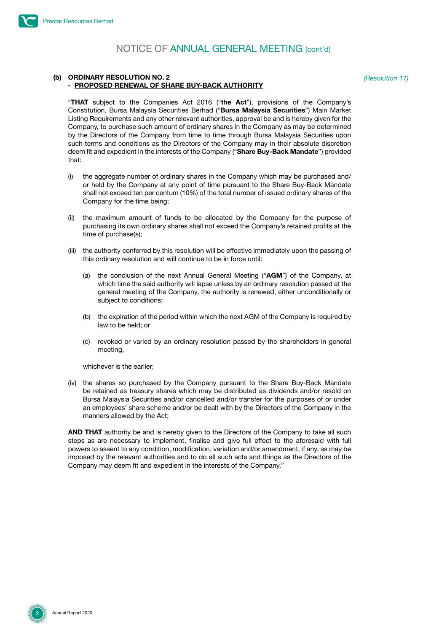#### **(b) ORDINARY RESOLUTION NO. 2 - PROPOSED RENEWAL OF SHARE BUY-BACK AUTHORITY**

*(Resolution 11)*

"**THAT** subject to the Companies Act 2016 ("**the Act**"), provisions of the Company's Constitution, Bursa Malaysia Securities Berhad ("**Bursa Malaysia Securities**") Main Market Listing Requirements and any other relevant authorities, approval be and is hereby given for the Company, to purchase such amount of ordinary shares in the Company as may be determined by the Directors of the Company from time to time through Bursa Malaysia Securities upon such terms and conditions as the Directors of the Company may in their absolute discretion deem fit and expedient in the interests of the Company ("**Share Buy-Back Mandate**") provided that:

- (i) the aggregate number of ordinary shares in the Company which may be purchased and/ or held by the Company at any point of time pursuant to the Share Buy-Back Mandate shall not exceed ten per centum (10%) of the total number of issued ordinary shares of the Company for the time being;
- (ii) the maximum amount of funds to be allocated by the Company for the purpose of purchasing its own ordinary shares shall not exceed the Company's retained profits at the time of purchase(s);
- (iii) the authority conferred by this resolution will be effective immediately upon the passing of this ordinary resolution and will continue to be in force until:
	- (a) the conclusion of the next Annual General Meeting ("**AGM**") of the Company, at which time the said authority will lapse unless by an ordinary resolution passed at the general meeting of the Company, the authority is renewed, either unconditionally or subject to conditions;
	- (b) the expiration of the period within which the next AGM of the Company is required by law to be held; or
	- (c) revoked or varied by an ordinary resolution passed by the shareholders in general meeting,

whichever is the earlier;

(iv) the shares so purchased by the Company pursuant to the Share Buy-Back Mandate be retained as treasury shares which may be distributed as dividends and/or resold on Bursa Malaysia Securities and/or cancelled and/or transfer for the purposes of or under an employees' share scheme and/or be dealt with by the Directors of the Company in the manners allowed by the Act;

**AND THAT** authority be and is hereby given to the Directors of the Company to take all such steps as are necessary to implement, finalise and give full effect to the aforesaid with full powers to assent to any condition, modification, variation and/or amendment, if any, as may be imposed by the relevant authorities and to do all such acts and things as the Directors of the Company may deem fit and expedient in the interests of the Company."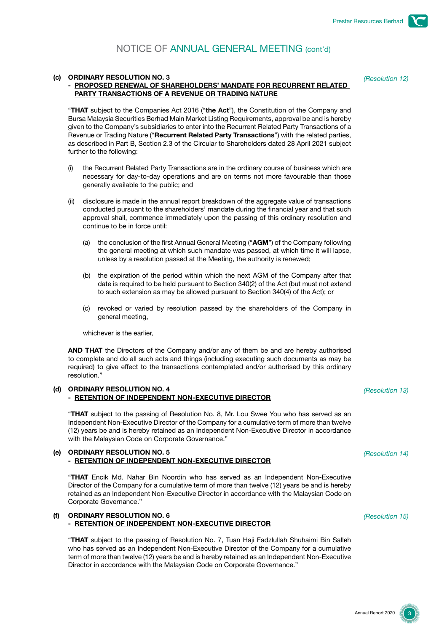#### **(c) ORDINARY RESOLUTION NO. 3**

## **- PROPOSED RENEWAL OF SHAREHOLDERS' MANDATE FOR RECURRENT RELATED PARTY TRANSACTIONS OF A REVENUE OR TRADING NATURE**

*(Resolution 12)*

"**THAT** subject to the Companies Act 2016 ("**the Act**"), the Constitution of the Company and Bursa Malaysia Securities Berhad Main Market Listing Requirements, approval be and is hereby given to the Company's subsidiaries to enter into the Recurrent Related Party Transactions of a Revenue or Trading Nature ("**Recurrent Related Party Transactions**") with the related parties, as described in Part B, Section 2.3 of the Circular to Shareholders dated 28 April 2021 subject further to the following:

- (i) the Recurrent Related Party Transactions are in the ordinary course of business which are necessary for day-to-day operations and are on terms not more favourable than those generally available to the public; and
- (ii) disclosure is made in the annual report breakdown of the aggregate value of transactions conducted pursuant to the shareholders' mandate during the financial year and that such approval shall, commence immediately upon the passing of this ordinary resolution and continue to be in force until:
	- (a) the conclusion of the first Annual General Meeting ("**AGM**") of the Company following the general meeting at which such mandate was passed, at which time it will lapse, unless by a resolution passed at the Meeting, the authority is renewed;
	- (b) the expiration of the period within which the next AGM of the Company after that date is required to be held pursuant to Section 340(2) of the Act (but must not extend to such extension as may be allowed pursuant to Section 340(4) of the Act); or
	- (c) revoked or varied by resolution passed by the shareholders of the Company in general meeting,

whichever is the earlier,

**AND THAT** the Directors of the Company and/or any of them be and are hereby authorised to complete and do all such acts and things (including executing such documents as may be required) to give effect to the transactions contemplated and/or authorised by this ordinary resolution."

## **(d) ORDINARY RESOLUTION NO. 4 - RETENTION OF INDEPENDENT NON-EXECUTIVE DIRECTOR**

"**THAT** subject to the passing of Resolution No. 8, Mr. Lou Swee You who has served as an Independent Non-Executive Director of the Company for a cumulative term of more than twelve (12) years be and is hereby retained as an Independent Non-Executive Director in accordance with the Malaysian Code on Corporate Governance."

# **(e) ORDINARY RESOLUTION NO. 5 - RETENTION OF INDEPENDENT NON-EXECUTIVE DIRECTOR**

"**THAT** Encik Md. Nahar Bin Noordin who has served as an Independent Non-Executive Director of the Company for a cumulative term of more than twelve (12) years be and is hereby retained as an Independent Non-Executive Director in accordance with the Malaysian Code on Corporate Governance."

### **(f) ORDINARY RESOLUTION NO. 6 - RETENTION OF INDEPENDENT NON-EXECUTIVE DIRECTOR**

"**THAT** subject to the passing of Resolution No. 7, Tuan Haji Fadzlullah Shuhaimi Bin Salleh who has served as an Independent Non-Executive Director of the Company for a cumulative term of more than twelve (12) years be and is hereby retained as an Independent Non-Executive Director in accordance with the Malaysian Code on Corporate Governance."

*(Resolution 13)*

*(Resolution 15)*

*(Resolution 14)*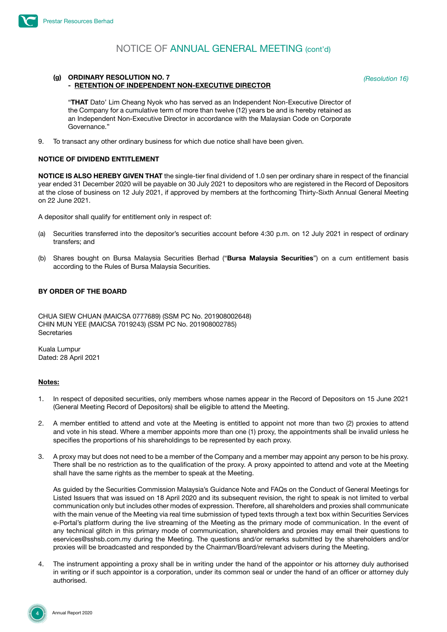#### **(g) ORDINARY RESOLUTION NO. 7 - RETENTION OF INDEPENDENT NON-EXECUTIVE DIRECTOR**

*(Resolution 16)*

"**THAT** Dato' Lim Cheang Nyok who has served as an Independent Non-Executive Director of the Company for a cumulative term of more than twelve (12) years be and is hereby retained as an Independent Non-Executive Director in accordance with the Malaysian Code on Corporate Governance."

9. To transact any other ordinary business for which due notice shall have been given.

### **NOTICE OF DIVIDEND ENTITLEMENT**

**NOTICE IS ALSO HEREBY GIVEN THAT** the single-tier final dividend of 1.0 sen per ordinary share in respect of the financial year ended 31 December 2020 will be payable on 30 July 2021 to depositors who are registered in the Record of Depositors at the close of business on 12 July 2021, if approved by members at the forthcoming Thirty-Sixth Annual General Meeting on 22 June 2021.

A depositor shall qualify for entitlement only in respect of:

- (a) Securities transferred into the depositor's securities account before 4:30 p.m. on 12 July 2021 in respect of ordinary transfers; and
- (b) Shares bought on Bursa Malaysia Securities Berhad ("**Bursa Malaysia Securities**") on a cum entitlement basis according to the Rules of Bursa Malaysia Securities.

# **BY ORDER OF THE BOARD**

CHUA SIEW CHUAN (MAICSA 0777689) (SSM PC No. 201908002648) CHIN MUN YEE (MAICSA 7019243) (SSM PC No. 201908002785) **Secretaries** 

Kuala Lumpur Dated: 28 April 2021

### **Notes:**

- 1. In respect of deposited securities, only members whose names appear in the Record of Depositors on 15 June 2021 (General Meeting Record of Depositors) shall be eligible to attend the Meeting.
- 2. A member entitled to attend and vote at the Meeting is entitled to appoint not more than two (2) proxies to attend and vote in his stead. Where a member appoints more than one (1) proxy, the appointments shall be invalid unless he specifies the proportions of his shareholdings to be represented by each proxy.
- 3. A proxy may but does not need to be a member of the Company and a member may appoint any person to be his proxy. There shall be no restriction as to the qualification of the proxy. A proxy appointed to attend and vote at the Meeting shall have the same rights as the member to speak at the Meeting.

As guided by the Securities Commission Malaysia's Guidance Note and FAQs on the Conduct of General Meetings for Listed Issuers that was issued on 18 April 2020 and its subsequent revision, the right to speak is not limited to verbal communication only but includes other modes of expression. Therefore, all shareholders and proxies shall communicate with the main venue of the Meeting via real time submission of typed texts through a text box within Securities Services e-Portal's platform during the live streaming of the Meeting as the primary mode of communication. In the event of any technical glitch in this primary mode of communication, shareholders and proxies may email their questions to eservices@sshsb.com.my during the Meeting. The questions and/or remarks submitted by the shareholders and/or proxies will be broadcasted and responded by the Chairman/Board/relevant advisers during the Meeting.

The instrument appointing a proxy shall be in writing under the hand of the appointor or his attorney duly authorised in writing or if such appointor is a corporation, under its common seal or under the hand of an officer or attorney duly authorised.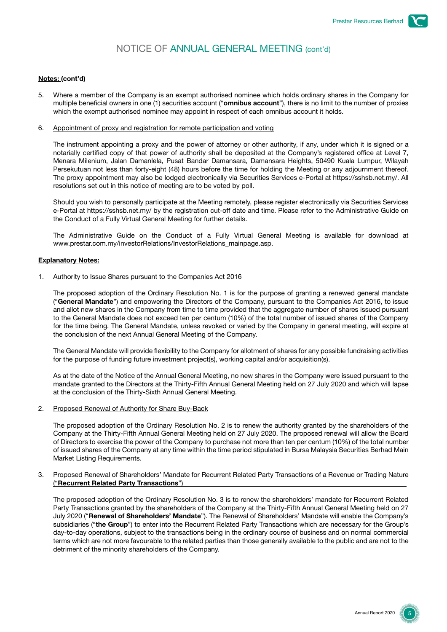### **Notes: (cont'd)**

- 5. Where a member of the Company is an exempt authorised nominee which holds ordinary shares in the Company for multiple beneficial owners in one (1) securities account ("**omnibus account**"), there is no limit to the number of proxies which the exempt authorised nominee may appoint in respect of each omnibus account it holds.
- 6. Appointment of proxy and registration for remote participation and voting

The instrument appointing a proxy and the power of attorney or other authority, if any, under which it is signed or a notarially certified copy of that power of authority shall be deposited at the Company's registered office at Level 7, Menara Milenium, Jalan Damanlela, Pusat Bandar Damansara, Damansara Heights, 50490 Kuala Lumpur, Wilayah Persekutuan not less than forty-eight (48) hours before the time for holding the Meeting or any adjournment thereof. The proxy appointment may also be lodged electronically via Securities Services e-Portal at https://sshsb.net.my/. All resolutions set out in this notice of meeting are to be voted by poll.

Should you wish to personally participate at the Meeting remotely, please register electronically via Securities Services e-Portal at https://sshsb.net.my/ by the registration cut-off date and time. Please refer to the Administrative Guide on the Conduct of a Fully Virtual General Meeting for further details.

The Administrative Guide on the Conduct of a Fully Virtual General Meeting is available for download at www.prestar.com.my/investorRelations/InvestorRelations\_mainpage.asp.

#### **Explanatory Notes:**

1. Authority to Issue Shares pursuant to the Companies Act 2016

The proposed adoption of the Ordinary Resolution No. 1 is for the purpose of granting a renewed general mandate ("**General Mandate**") and empowering the Directors of the Company, pursuant to the Companies Act 2016, to issue and allot new shares in the Company from time to time provided that the aggregate number of shares issued pursuant to the General Mandate does not exceed ten per centum (10%) of the total number of issued shares of the Company for the time being. The General Mandate, unless revoked or varied by the Company in general meeting, will expire at the conclusion of the next Annual General Meeting of the Company.

The General Mandate will provide flexibility to the Company for allotment of shares for any possible fundraising activities for the purpose of funding future investment project(s), working capital and/or acquisition(s).

As at the date of the Notice of the Annual General Meeting, no new shares in the Company were issued pursuant to the mandate granted to the Directors at the Thirty-Fifth Annual General Meeting held on 27 July 2020 and which will lapse at the conclusion of the Thirty-Sixth Annual General Meeting.

2. Proposed Renewal of Authority for Share Buy-Back

The proposed adoption of the Ordinary Resolution No. 2 is to renew the authority granted by the shareholders of the Company at the Thirty-Fifth Annual General Meeting held on 27 July 2020. The proposed renewal will allow the Board of Directors to exercise the power of the Company to purchase not more than ten per centum (10%) of the total number of issued shares of the Company at any time within the time period stipulated in Bursa Malaysia Securities Berhad Main Market Listing Requirements.

3. Proposed Renewal of Shareholders' Mandate for Recurrent Related Party Transactions of a Revenue or Trading Nature ("**Recurrent Related Party Transactions**") \_\_\_\_\_

The proposed adoption of the Ordinary Resolution No. 3 is to renew the shareholders' mandate for Recurrent Related Party Transactions granted by the shareholders of the Company at the Thirty-Fifth Annual General Meeting held on 27 July 2020 ("**Renewal of Shareholders' Mandate**"). The Renewal of Shareholders' Mandate will enable the Company's subsidiaries ("**the Group**") to enter into the Recurrent Related Party Transactions which are necessary for the Group's day-to-day operations, subject to the transactions being in the ordinary course of business and on normal commercial terms which are not more favourable to the related parties than those generally available to the public and are not to the detriment of the minority shareholders of the Company.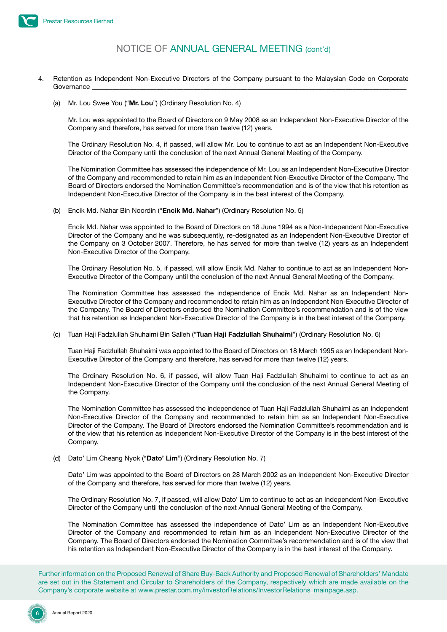

- 4. Retention as Independent Non-Executive Directors of the Company pursuant to the Malaysian Code on Corporate  $\rm{Government}$ 
	- (a) Mr. Lou Swee You ("**Mr. Lou**") (Ordinary Resolution No. 4)

Mr. Lou was appointed to the Board of Directors on 9 May 2008 as an Independent Non-Executive Director of the Company and therefore, has served for more than twelve (12) years.

The Ordinary Resolution No. 4, if passed, will allow Mr. Lou to continue to act as an Independent Non-Executive Director of the Company until the conclusion of the next Annual General Meeting of the Company.

The Nomination Committee has assessed the independence of Mr. Lou as an Independent Non-Executive Director of the Company and recommended to retain him as an Independent Non-Executive Director of the Company. The Board of Directors endorsed the Nomination Committee's recommendation and is of the view that his retention as Independent Non-Executive Director of the Company is in the best interest of the Company.

(b) Encik Md. Nahar Bin Noordin ("**Encik Md. Nahar**") (Ordinary Resolution No. 5)

Encik Md. Nahar was appointed to the Board of Directors on 18 June 1994 as a Non-Independent Non-Executive Director of the Company and he was subsequently, re-designated as an Independent Non-Executive Director of the Company on 3 October 2007. Therefore, he has served for more than twelve (12) years as an Independent Non-Executive Director of the Company.

The Ordinary Resolution No. 5, if passed, will allow Encik Md. Nahar to continue to act as an Independent Non-Executive Director of the Company until the conclusion of the next Annual General Meeting of the Company.

The Nomination Committee has assessed the independence of Encik Md. Nahar as an Independent Non-Executive Director of the Company and recommended to retain him as an Independent Non-Executive Director of the Company. The Board of Directors endorsed the Nomination Committee's recommendation and is of the view that his retention as Independent Non-Executive Director of the Company is in the best interest of the Company.

(c) Tuan Haji Fadzlullah Shuhaimi Bin Salleh ("**Tuan Haji Fadzlullah Shuhaimi**") (Ordinary Resolution No. 6)

Tuan Haji Fadzlullah Shuhaimi was appointed to the Board of Directors on 18 March 1995 as an Independent Non-Executive Director of the Company and therefore, has served for more than twelve (12) years.

The Ordinary Resolution No. 6, if passed, will allow Tuan Haji Fadzlullah Shuhaimi to continue to act as an Independent Non-Executive Director of the Company until the conclusion of the next Annual General Meeting of the Company.

The Nomination Committee has assessed the independence of Tuan Haji Fadzlullah Shuhaimi as an Independent Non-Executive Director of the Company and recommended to retain him as an Independent Non-Executive Director of the Company. The Board of Directors endorsed the Nomination Committee's recommendation and is of the view that his retention as Independent Non-Executive Director of the Company is in the best interest of the Company.

(d) Dato' Lim Cheang Nyok ("**Dato' Lim**") (Ordinary Resolution No. 7)

Dato' Lim was appointed to the Board of Directors on 28 March 2002 as an Independent Non-Executive Director of the Company and therefore, has served for more than twelve (12) years.

The Ordinary Resolution No. 7, if passed, will allow Dato' Lim to continue to act as an Independent Non-Executive Director of the Company until the conclusion of the next Annual General Meeting of the Company.

The Nomination Committee has assessed the independence of Dato' Lim as an Independent Non-Executive Director of the Company and recommended to retain him as an Independent Non-Executive Director of the Company. The Board of Directors endorsed the Nomination Committee's recommendation and is of the view that his retention as Independent Non-Executive Director of the Company is in the best interest of the Company.

Further information on the Proposed Renewal of Share Buy-Back Authority and Proposed Renewal of Shareholders' Mandate are set out in the Statement and Circular to Shareholders of the Company, respectively which are made available on the Company's corporate website at www.prestar.com.my/investorRelations/InvestorRelations\_mainpage.asp.